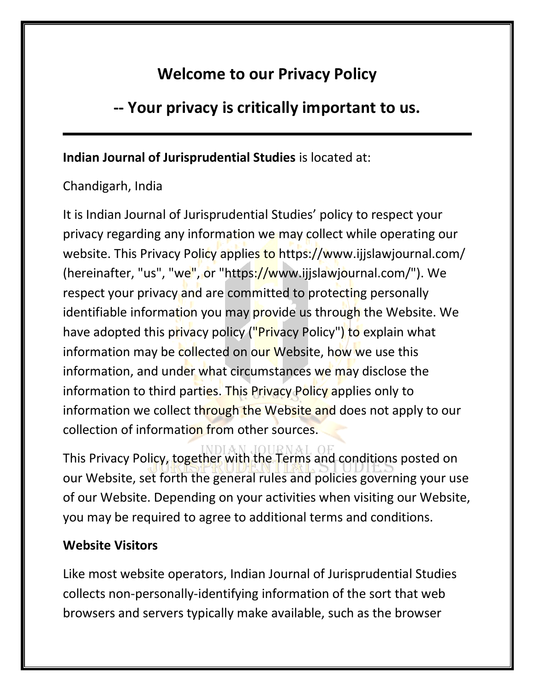# **Welcome to our Privacy Policy**

## **-- Your privacy is critically important to us.**

#### **Indian Journal of Jurisprudential Studies** is located at:

#### Chandigarh, India

It is Indian Journal of Jurisprudential Studies' policy to respect your privacy regarding any information we may collect while operating our website. This Privacy Policy applies to https://www.ijjslawjournal.com/ (hereinafter, "us", "we", or "https://www.ijjslawjournal.com/"). We respect your privacy and are committed to protecting personally identifiable information you may provide us through the Website. We have adopted this privacy policy ("Privacy Policy") to explain what information may be collected on our Website, how we use this information, and under what circumstances we may disclose the information to third parties. This Privacy Policy applies only to information we collect through the Website and does not apply to our collection of information from other sources.

This Privacy Policy, together with the Terms and conditions posted on our Website, set forth the general rules and policies governing your use of our Website. Depending on your activities when visiting our Website, you may be required to agree to additional terms and conditions.

## **Website Visitors**

Like most website operators, Indian Journal of Jurisprudential Studies collects non-personally-identifying information of the sort that web browsers and servers typically make available, such as the browser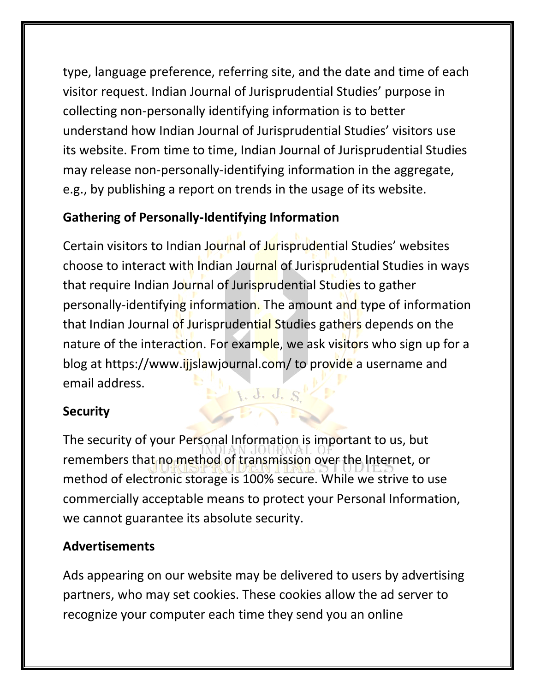type, language preference, referring site, and the date and time of each visitor request. Indian Journal of Jurisprudential Studies' purpose in collecting non-personally identifying information is to better understand how Indian Journal of Jurisprudential Studies' visitors use its website. From time to time, Indian Journal of Jurisprudential Studies may release non-personally-identifying information in the aggregate, e.g., by publishing a report on trends in the usage of its website.

#### **Gathering of Personally-Identifying Information**

Certain visitors to Indian Journal of Jurisprudential Studies' websites choose to interact with Indian Journal of Jurisprudential Studies in ways that require Indian Journal of Jurisprudential Studies to gather personally-identifying information. The amount and type of information that Indian Journal of Jurisprudential Studies gathers depends on the nature of the interaction. For example, we ask visitors who sign up for a blog at https://www.ijjslawjournal.com/ to provide a username and email address.  $\left[1, 3, 5\right]$ 

## **Security**

The security of your Personal Information is important to us, but remembers that no method of transmission over the Internet, or method of electronic storage is 100% secure. While we strive to use commercially acceptable means to protect your Personal Information, we cannot guarantee its absolute security.

## **Advertisements**

Ads appearing on our website may be delivered to users by advertising partners, who may set cookies. These cookies allow the ad server to recognize your computer each time they send you an online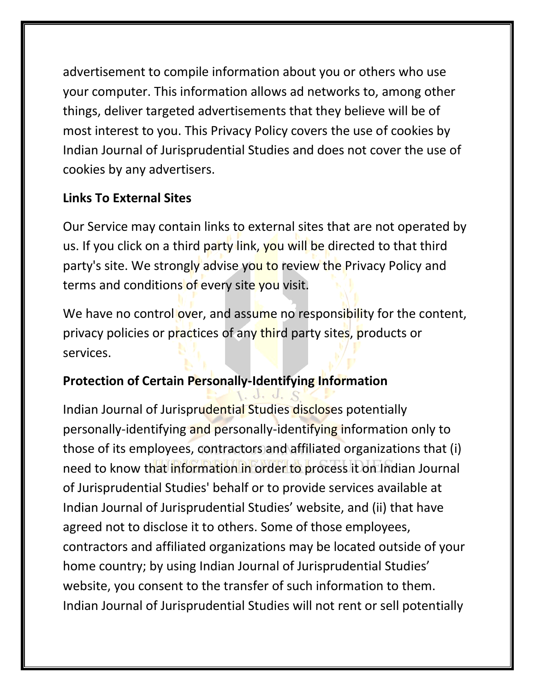advertisement to compile information about you or others who use your computer. This information allows ad networks to, among other things, deliver targeted advertisements that they believe will be of most interest to you. This Privacy Policy covers the use of cookies by Indian Journal of Jurisprudential Studies and does not cover the use of cookies by any advertisers.

#### **Links To External Sites**

Our Service may contain links to external sites that are not operated by us. If you click on a third party link, you will be directed to that third party's site. We strongly advise you to review the Privacy Policy and terms and conditions of every site you visit.

We have no control over, and assume no responsibility for the content, privacy policies or practices of any third party sites, products or services.

## **Protection of Certain Personally-Identifying Information**

Indian Journal of Jurisprudential Studies discloses potentially personally-identifying and personally-identifying information only to those of its employees, contractors and affiliated organizations that (i) need to know that information in order to process it on Indian Journal of Jurisprudential Studies' behalf or to provide services available at Indian Journal of Jurisprudential Studies' website, and (ii) that have agreed not to disclose it to others. Some of those employees, contractors and affiliated organizations may be located outside of your home country; by using Indian Journal of Jurisprudential Studies' website, you consent to the transfer of such information to them. Indian Journal of Jurisprudential Studies will not rent or sell potentially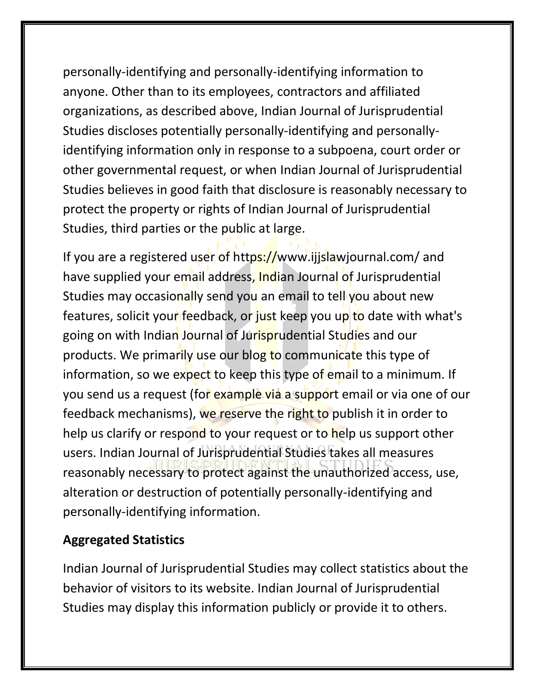personally-identifying and personally-identifying information to anyone. Other than to its employees, contractors and affiliated organizations, as described above, Indian Journal of Jurisprudential Studies discloses potentially personally-identifying and personallyidentifying information only in response to a subpoena, court order or other governmental request, or when Indian Journal of Jurisprudential Studies believes in good faith that disclosure is reasonably necessary to protect the property or rights of Indian Journal of Jurisprudential Studies, third parties or the public at large.

If you are a registered user of https://www.ijjslawjournal.com/ and have supplied your email address, Indian Journal of Jurisprudential Studies may occasionally send you an email to tell you about new features, solicit your feedback, or just keep you up to date with what's going on with Indian Journal of Jurisprudential Studies and our products. We primarily use our blog to communicate this type of information, so we expect to keep this type of email to a minimum. If you send us a request (for example via a support email or via one of our feedback mechanisms), we reserve the right to publish it in order to help us clarify or respond to your request or to help us support other users. Indian Journal of Jurisprudential Studies takes all measures reasonably necessary to protect against the unauthorized access, use, alteration or destruction of potentially personally-identifying and personally-identifying information.

#### **Aggregated Statistics**

Indian Journal of Jurisprudential Studies may collect statistics about the behavior of visitors to its website. Indian Journal of Jurisprudential Studies may display this information publicly or provide it to others.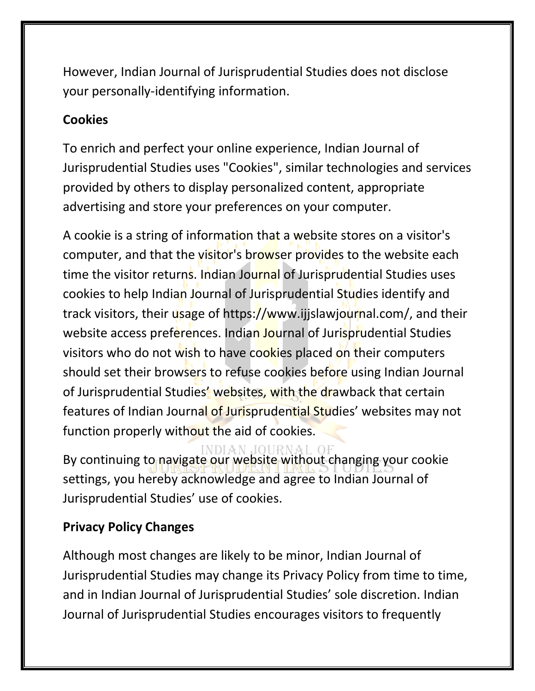However, Indian Journal of Jurisprudential Studies does not disclose your personally-identifying information.

#### **Cookies**

To enrich and perfect your online experience, Indian Journal of Jurisprudential Studies uses "Cookies", similar technologies and services provided by others to display personalized content, appropriate advertising and store your preferences on your computer.

A cookie is a string of information that a website stores on a visitor's computer, and that the visitor's browser provides to the website each time the visitor returns. Indian Journal of Jurisprudential Studies uses cookies to help Indian Journal of Jurisprudential Studies identify and track visitors, their usage of https://www.ijjslawjournal.com/, and their website access preferences. Indian Journal of Jurisprudential Studies visitors who do not wish to have cookies placed on their computers should set their browsers to refuse cookies before using Indian Journal of Jurisprudential Studies' websites, with the drawback that certain features of Indian Journal of Jurisprudential Studies' websites may not function properly without the aid of cookies.

By continuing to navigate our website without changing your cookie settings, you hereby acknowledge and agree to Indian Journal of Jurisprudential Studies' use of cookies.

#### **Privacy Policy Changes**

Although most changes are likely to be minor, Indian Journal of Jurisprudential Studies may change its Privacy Policy from time to time, and in Indian Journal of Jurisprudential Studies' sole discretion. Indian Journal of Jurisprudential Studies encourages visitors to frequently